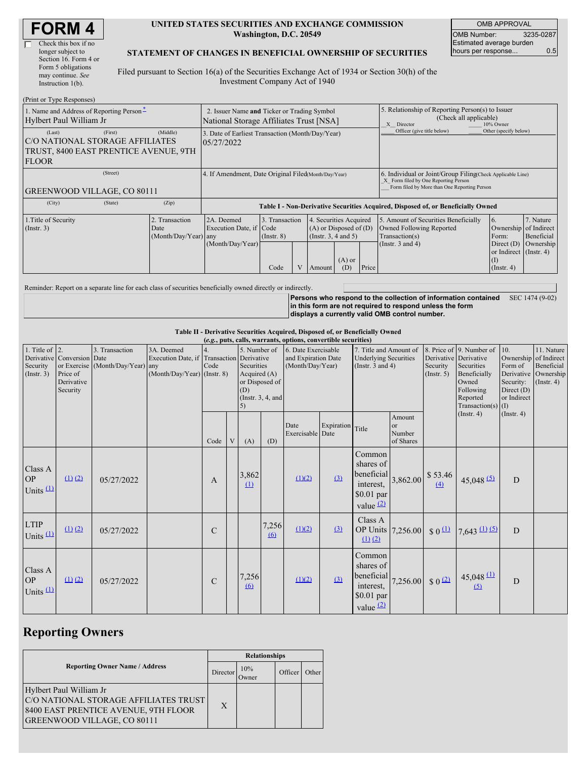| <b>FORM4</b> |
|--------------|
|--------------|

#### **UNITED STATES SECURITIES AND EXCHANGE COMMISSION Washington, D.C. 20549**

OMB APPROVAL OMB Number: 3235-0287 Estimated average burden hours per response... 0.5

#### **STATEMENT OF CHANGES IN BENEFICIAL OWNERSHIP OF SECURITIES**

Filed pursuant to Section 16(a) of the Securities Exchange Act of 1934 or Section 30(h) of the Investment Company Act of 1940

| (Print or Type Responses)                                                                          |                                                                                        |                                                |                                                                                  |                                                                                                                   |  |                                                                                    |                                                                                                       |                         |                                                                                                                                                    |                                                                |           |  |
|----------------------------------------------------------------------------------------------------|----------------------------------------------------------------------------------------|------------------------------------------------|----------------------------------------------------------------------------------|-------------------------------------------------------------------------------------------------------------------|--|------------------------------------------------------------------------------------|-------------------------------------------------------------------------------------------------------|-------------------------|----------------------------------------------------------------------------------------------------------------------------------------------------|----------------------------------------------------------------|-----------|--|
| 1. Name and Address of Reporting Person-<br>Hylbert Paul William Jr                                | 2. Issuer Name and Ticker or Trading Symbol<br>National Storage Affiliates Trust [NSA] |                                                |                                                                                  |                                                                                                                   |  |                                                                                    | 5. Relationship of Reporting Person(s) to Issuer<br>(Check all applicable)<br>10% Owner<br>X Director |                         |                                                                                                                                                    |                                                                |           |  |
| (Last)<br>C/O NATIONAL STORAGE AFFILIATES<br>TRUST, 8400 EAST PRENTICE AVENUE, 9TH<br><b>FLOOR</b> | 3. Date of Earliest Transaction (Month/Day/Year)<br>05/27/2022                         |                                                |                                                                                  |                                                                                                                   |  |                                                                                    | Officer (give title below)                                                                            | Other (specify below)   |                                                                                                                                                    |                                                                |           |  |
| (Street)<br><b>GREENWOOD VILLAGE, CO 80111</b>                                                     |                                                                                        |                                                | 4. If Amendment, Date Original Filed Month/Day/Year)                             |                                                                                                                   |  |                                                                                    |                                                                                                       |                         | 6. Individual or Joint/Group Filing(Check Applicable Line)<br>X Form filed by One Reporting Person<br>Form filed by More than One Reporting Person |                                                                |           |  |
| (City)                                                                                             | (State)                                                                                | (Zip)                                          | Table I - Non-Derivative Securities Acquired, Disposed of, or Beneficially Owned |                                                                                                                   |  |                                                                                    |                                                                                                       |                         |                                                                                                                                                    |                                                                |           |  |
| 1. Title of Security<br>$($ Instr. 3 $)$                                                           |                                                                                        | 2. Transaction<br>Date<br>(Month/Day/Year) any | 2A. Deemed<br>Execution Date, if Code                                            | 3. Transaction<br>4. Securities Acquired<br>$(A)$ or Disposed of $(D)$<br>(Insert. 3, 4 and 5)<br>$($ Instr. $8)$ |  | 5. Amount of Securities Beneficially<br>Owned Following Reported<br>Transaction(s) | $\overline{6}$ .<br>Ownership of Indirect<br>Form:                                                    | 7. Nature<br>Beneficial |                                                                                                                                                    |                                                                |           |  |
|                                                                                                    |                                                                                        |                                                | (Month/Day/Year)                                                                 | Code                                                                                                              |  | Amount                                                                             | $(A)$ or<br>(D)                                                                                       | Price                   | (Instr. $3$ and $4$ )                                                                                                                              | Direct $(D)$<br>or Indirect (Instr. 4)<br>(I)<br>$($ Instr. 4) | Ownership |  |

Reminder: Report on a separate line for each class of securities beneficially owned directly or indirectly.

**Persons who respond to the collection of information contained** SEC 1474 (9-02) **in this form are not required to respond unless the form displays a currently valid OMB control number.**

**Table II - Derivative Securities Acquired, Disposed of, or Beneficially Owned**

|                                                  | (e.g., puts, calls, warrants, options, convertible securities)   |                                                    |                                                                                          |               |   |                                                                                                     |                   |                                                                |            |                                                                                 |                                     |                                                  |                                                                                                                  |                                                                          |                                                                                    |
|--------------------------------------------------|------------------------------------------------------------------|----------------------------------------------------|------------------------------------------------------------------------------------------|---------------|---|-----------------------------------------------------------------------------------------------------|-------------------|----------------------------------------------------------------|------------|---------------------------------------------------------------------------------|-------------------------------------|--------------------------------------------------|------------------------------------------------------------------------------------------------------------------|--------------------------------------------------------------------------|------------------------------------------------------------------------------------|
| 1. Title of $\vert$ 2.<br>Security<br>(Instr. 3) | Derivative Conversion Date<br>Price of<br>Derivative<br>Security | 3. Transaction<br>or Exercise (Month/Day/Year) any | 3A. Deemed<br>Execution Date, if Transaction Derivative<br>$(Month/Day/Year)$ (Instr. 8) | Code          |   | 5. Number of<br>Securities<br>Acquired $(A)$<br>or Disposed of<br>(D)<br>(Instr. $3, 4$ , and<br>5) |                   | 6. Date Exercisable<br>and Expiration Date<br>(Month/Day/Year) |            | 7. Title and Amount of<br><b>Underlying Securities</b><br>(Instr. $3$ and $4$ ) |                                     | Derivative Derivative<br>Security<br>(Insert. 5) | 8. Price of 9. Number of<br>Securities<br>Beneficially<br>Owned<br>Following<br>Reported<br>Transaction(s) $(I)$ | 10.<br>Form of<br>Derivative<br>Security:<br>Direct $(D)$<br>or Indirect | 11. Nature<br>Ownership of Indirect<br>Beneficial<br>Ownership<br>$($ Instr. 4 $)$ |
|                                                  |                                                                  |                                                    |                                                                                          | Code          | V | (A)                                                                                                 | (D)               | Date<br>Exercisable Date                                       | Expiration | Title                                                                           | Amount<br>or<br>Number<br>of Shares |                                                  | $($ Instr. 4 $)$                                                                                                 | (Insert. 4)                                                              |                                                                                    |
| Class A<br><b>OP</b><br>Units $(1)$              | (1) (2)                                                          | 05/27/2022                                         |                                                                                          | A             |   | 3,862<br>$\Omega$                                                                                   |                   | (1)(2)                                                         | (3)        | Common<br>shares of<br>beneficial<br>interest,<br>$$0.01$ par<br>value $(2)$    |                                     | $3,862.00$ \$ 53.46<br>(4)                       | $45,048$ <sup>(5)</sup>                                                                                          | D                                                                        |                                                                                    |
| <b>LTIP</b><br>Units $(1)$                       | $(1)$ $(2)$                                                      | 05/27/2022                                         |                                                                                          | C             |   |                                                                                                     | 7,256<br>$\omega$ | (1)(2)                                                         | (3)        | Class A<br>OP Units 7,256.00<br>$(1)$ $(2)$                                     |                                     | $\frac{1}{2}$ 0 $\frac{11}{2}$                   | $7,643$ (1) (5)                                                                                                  | D                                                                        |                                                                                    |
| Class A<br><b>OP</b><br>Units $(1)$              | (1) (2)                                                          | 05/27/2022                                         |                                                                                          | $\mathcal{C}$ |   | 7,256<br>6                                                                                          |                   | (1)(2)                                                         | (3)        | Common<br>shares of<br>beneficial<br>interest,<br>$$0.01$ par<br>value $(2)$    | 7,256.00                            | $\sqrt{2}$                                       | $45,048$ $(1)$<br>(5)                                                                                            | D                                                                        |                                                                                    |

# **Reporting Owners**

|                                                                                                                                                | <b>Relationships</b> |              |         |       |  |  |  |
|------------------------------------------------------------------------------------------------------------------------------------------------|----------------------|--------------|---------|-------|--|--|--|
| <b>Reporting Owner Name / Address</b>                                                                                                          | Director             | 10%<br>Owner | Officer | Other |  |  |  |
| Hylbert Paul William Jr<br>C/O NATIONAL STORAGE AFFILIATES TRUST<br>8400 EAST PRENTICE AVENUE, 9TH FLOOR<br><b>GREENWOOD VILLAGE, CO 80111</b> | X                    |              |         |       |  |  |  |